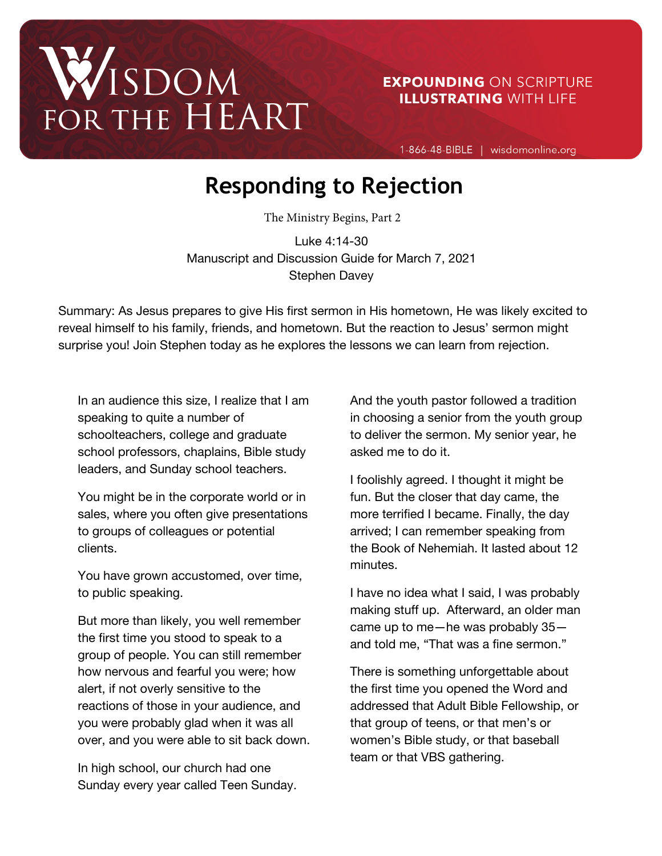# WISDOM<br>FOR THE HEART

# **EXPOUNDING ON SCRIPTURE ILLUSTRATING WITH LIFE**

1-866-48-BIBLE | wisdomonline.org

# **Responding to Rejection**

The Ministry Begins, Part 2

Luke 4:14-30 Manuscript and Discussion Guide for March 7, 2021 Stephen Davey

Summary: As Jesus prepares to give His first sermon in His hometown, He was likely excited to reveal himself to his family, friends, and hometown. But the reaction to Jesus' sermon might surprise you! Join Stephen today as he explores the lessons we can learn from rejection.

In an audience this size, I realize that I am speaking to quite a number of schoolteachers, college and graduate school professors, chaplains, Bible study leaders, and Sunday school teachers.

You might be in the corporate world or in sales, where you often give presentations to groups of colleagues or potential clients.

You have grown accustomed, over time, to public speaking.

But more than likely, you well remember the first time you stood to speak to a group of people. You can still remember how nervous and fearful you were; how alert, if not overly sensitive to the reactions of those in your audience, and you were probably glad when it was all over, and you were able to sit back down.

In high school, our church had one Sunday every year called Teen Sunday. And the youth pastor followed a tradition in choosing a senior from the youth group to deliver the sermon. My senior year, he asked me to do it.

I foolishly agreed. I thought it might be fun. But the closer that day came, the more terrified I became. Finally, the day arrived; I can remember speaking from the Book of Nehemiah. It lasted about 12 minutes.

I have no idea what I said, I was probably making stuff up. Afterward, an older man came up to me—he was probably 35 and told me, "That was a fine sermon."

There is something unforgettable about the first time you opened the Word and addressed that Adult Bible Fellowship, or that group of teens, or that men's or women's Bible study, or that baseball team or that VBS gathering.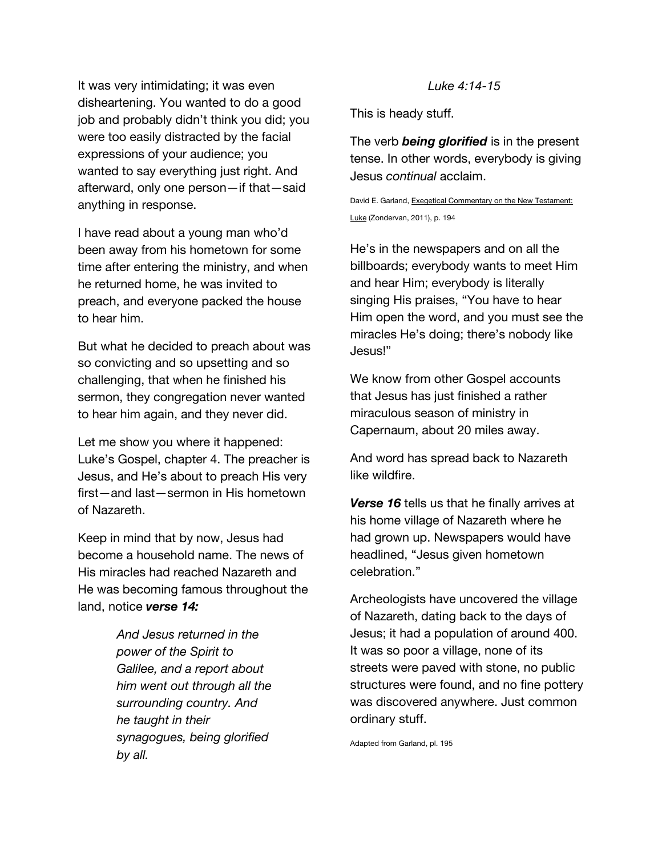It was very intimidating; it was even disheartening. You wanted to do a good job and probably didn't think you did; you were too easily distracted by the facial expressions of your audience; you wanted to say everything just right. And afterward, only one person—if that—said anything in response.

I have read about a young man who'd been away from his hometown for some time after entering the ministry, and when he returned home, he was invited to preach, and everyone packed the house to hear him.

But what he decided to preach about was so convicting and so upsetting and so challenging, that when he finished his sermon, they congregation never wanted to hear him again, and they never did.

Let me show you where it happened: Luke's Gospel, chapter 4. The preacher is Jesus, and He's about to preach His very first—and last—sermon in His hometown of Nazareth.

Keep in mind that by now, Jesus had become a household name. The news of His miracles had reached Nazareth and He was becoming famous throughout the land, notice *verse 14:*

> *And Jesus returned in the power of the Spirit to Galilee, and a report about him went out through all the surrounding country. And he taught in their synagogues, being glorified by all.*

#### *Luke 4:14-15*

This is heady stuff.

The verb *being glorified* is in the present tense. In other words, everybody is giving Jesus *continual* acclaim.

David E. Garland, Exegetical Commentary on the New Testament: Luke (Zondervan, 2011), p. 194

He's in the newspapers and on all the billboards; everybody wants to meet Him and hear Him; everybody is literally singing His praises, "You have to hear Him open the word, and you must see the miracles He's doing; there's nobody like Jesus!"

We know from other Gospel accounts that Jesus has just finished a rather miraculous season of ministry in Capernaum, about 20 miles away.

And word has spread back to Nazareth like wildfire.

*Verse 16* tells us that he finally arrives at his home village of Nazareth where he had grown up. Newspapers would have headlined, "Jesus given hometown celebration."

Archeologists have uncovered the village of Nazareth, dating back to the days of Jesus; it had a population of around 400. It was so poor a village, none of its streets were paved with stone, no public structures were found, and no fine pottery was discovered anywhere. Just common ordinary stuff.

Adapted from Garland, pl. 195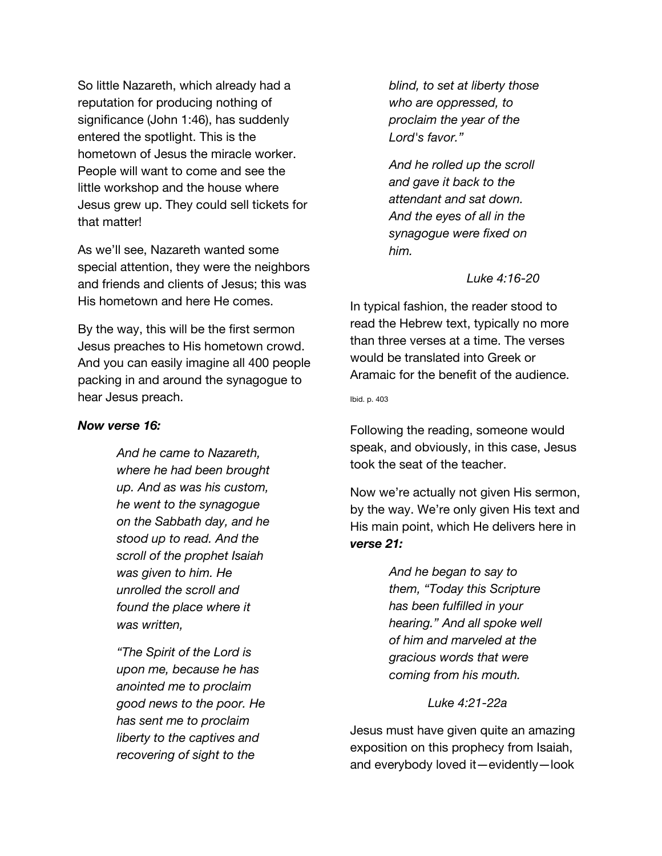So little Nazareth, which already had a reputation for producing nothing of significance (John 1:46), has suddenly entered the spotlight. This is the hometown of Jesus the miracle worker. People will want to come and see the little workshop and the house where Jesus grew up. They could sell tickets for that matter!

As we'll see, Nazareth wanted some special attention, they were the neighbors and friends and clients of Jesus; this was His hometown and here He comes.

By the way, this will be the first sermon Jesus preaches to His hometown crowd. And you can easily imagine all 400 people packing in and around the synagogue to hear Jesus preach.

#### *Now verse 16:*

*And he came to Nazareth, where he had been brought up. And as was his custom, he went to the synagogue on the Sabbath day, and he stood up to read. And the scroll of the prophet Isaiah was given to him. He unrolled the scroll and found the place where it was written,*

*"The Spirit of the Lord is upon me, because he has anointed me to proclaim good news to the poor. He has sent me to proclaim liberty to the captives and recovering of sight to the* 

*blind, to set at liberty those who are oppressed, to proclaim the year of the Lord's favor."*

*And he rolled up the scroll and gave it back to the attendant and sat down. And the eyes of all in the synagogue were fixed on him.*

*Luke 4:16-20*

In typical fashion, the reader stood to read the Hebrew text, typically no more than three verses at a time. The verses would be translated into Greek or Aramaic for the benefit of the audience.

Ibid. p. 403

Following the reading, someone would speak, and obviously, in this case, Jesus took the seat of the teacher.

Now we're actually not given His sermon, by the way. We're only given His text and His main point, which He delivers here in *verse 21:*

> *And he began to say to them, "Today this Scripture has been fulfilled in your hearing." And all spoke well of him and marveled at the gracious words that were coming from his mouth.*

> > *Luke 4:21-22a*

Jesus must have given quite an amazing exposition on this prophecy from Isaiah, and everybody loved it—evidently—look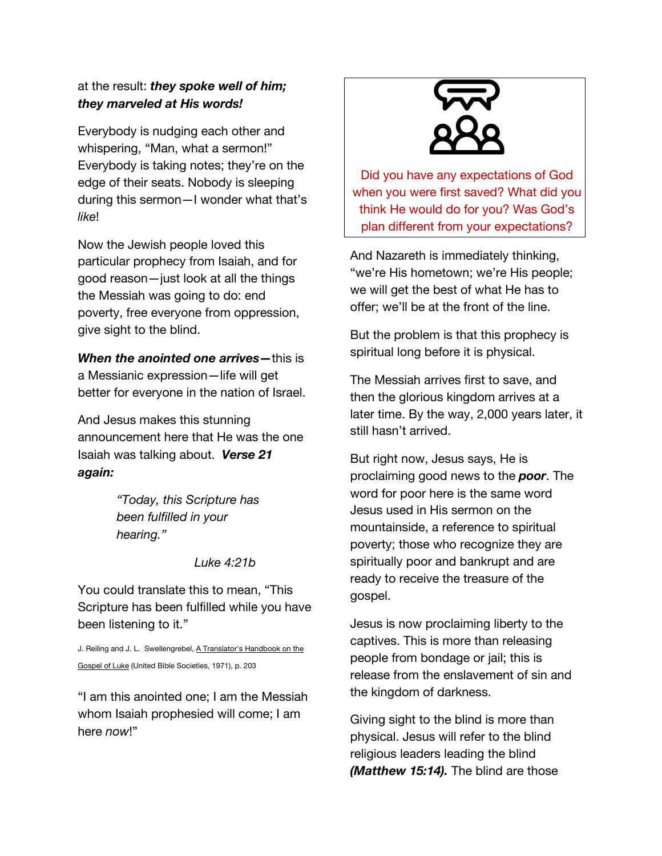### at the result: *they spoke well of him; they marveled at His words!*

Everybody is nudging each other and whispering, "Man, what a sermon!" Everybody is taking notes; they're on the edge of their seats. Nobody is sleeping during this sermon—I wonder what that's *like*!

Now the Jewish people loved this particular prophecy from Isaiah, and for good reason—just look at all the things the Messiah was going to do: end poverty, free everyone from oppression, give sight to the blind.

*When the anointed one arrives—*this is a Messianic expression—life will get better for everyone in the nation of Israel.

And Jesus makes this stunning announcement here that He was the one Isaiah was talking about. *Verse 21 again:*

> *"Today, this Scripture has been fulfilled in your hearing."*

> > *Luke 4:21b*

You could translate this to mean, "This Scripture has been fulfilled while you have been listening to it."

J. Reiling and J. L. Swellengrebel, A Translator's Handbook on the Gospel of Luke (United Bible Societies, 1971), p. 203

"I am this anointed one; I am the Messiah whom Isaiah prophesied will come; I am here *now*!"



Did you have any expectations of God when you were first saved? What did you think He would do for you? Was God's plan different from your expectations?

And Nazareth is immediately thinking, "we're His hometown; we're His people; we will get the best of what He has to offer; we'll be at the front of the line.

But the problem is that this prophecy is spiritual long before it is physical.

The Messiah arrives first to save, and then the glorious kingdom arrives at a later time. By the way, 2,000 years later, it still hasn't arrived.

But right now, Jesus says, He is proclaiming good news to the *poor*. The word for poor here is the same word Jesus used in His sermon on the mountainside, a reference to spiritual poverty; those who recognize they are spiritually poor and bankrupt and are ready to receive the treasure of the gospel.

Jesus is now proclaiming liberty to the captives. This is more than releasing people from bondage or jail; this is release from the enslavement of sin and the kingdom of darkness.

Giving sight to the blind is more than physical. Jesus will refer to the blind religious leaders leading the blind *(Matthew 15:14).* The blind are those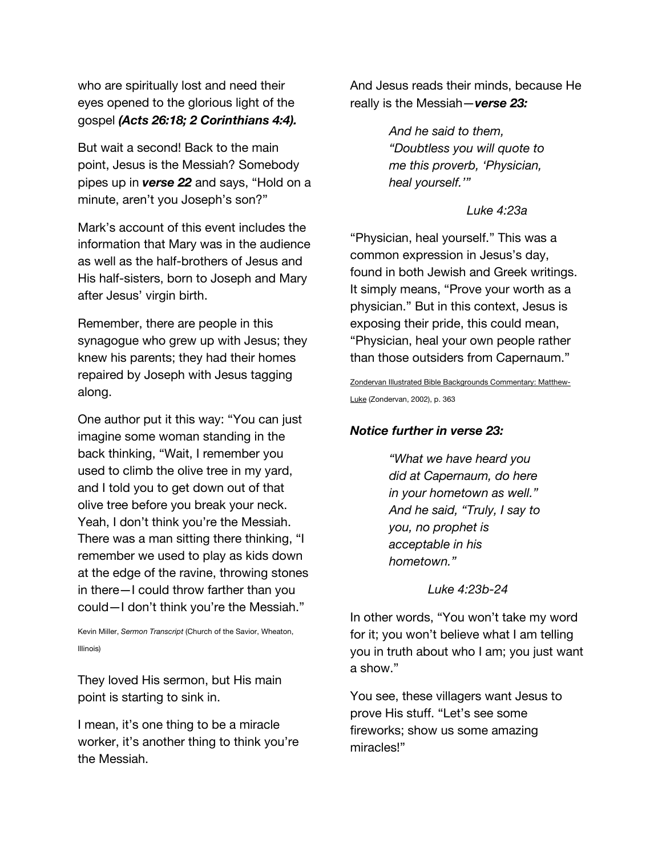who are spiritually lost and need their eyes opened to the glorious light of the gospel *(Acts 26:18; 2 Corinthians 4:4).*

But wait a second! Back to the main point, Jesus is the Messiah? Somebody pipes up in *verse 22* and says, "Hold on a minute, aren't you Joseph's son?"

Mark's account of this event includes the information that Mary was in the audience as well as the half-brothers of Jesus and His half-sisters, born to Joseph and Mary after Jesus' virgin birth.

Remember, there are people in this synagogue who grew up with Jesus; they knew his parents; they had their homes repaired by Joseph with Jesus tagging along.

One author put it this way: "You can just imagine some woman standing in the back thinking, "Wait, I remember you used to climb the olive tree in my yard, and I told you to get down out of that olive tree before you break your neck. Yeah, I don't think you're the Messiah. There was a man sitting there thinking, "I remember we used to play as kids down at the edge of the ravine, throwing stones in there—I could throw farther than you could—I don't think you're the Messiah."

Kevin Miller, *Sermon Transcript* (Church of the Savior, Wheaton, Illinois)

They loved His sermon, but His main point is starting to sink in.

I mean, it's one thing to be a miracle worker, it's another thing to think you're the Messiah.

And Jesus reads their minds, because He really is the Messiah—*verse 23:*

> *And he said to them, "Doubtless you will quote to me this proverb, 'Physician, heal yourself.'"*

#### *Luke 4:23a*

"Physician, heal yourself." This was a common expression in Jesus's day, found in both Jewish and Greek writings. It simply means, "Prove your worth as a physician." But in this context, Jesus is exposing their pride, this could mean, "Physician, heal your own people rather than those outsiders from Capernaum."

Zondervan Illustrated Bible Backgrounds Commentary: Matthew-Luke (Zondervan, 2002), p. 363

#### *Notice further in verse 23:*

*"What we have heard you did at Capernaum, do here in your hometown as well." And he said, "Truly, I say to you, no prophet is acceptable in his hometown."* 

*Luke 4:23b-24*

In other words, "You won't take my word for it; you won't believe what I am telling you in truth about who I am; you just want a show."

You see, these villagers want Jesus to prove His stuff. "Let's see some fireworks; show us some amazing miracles!"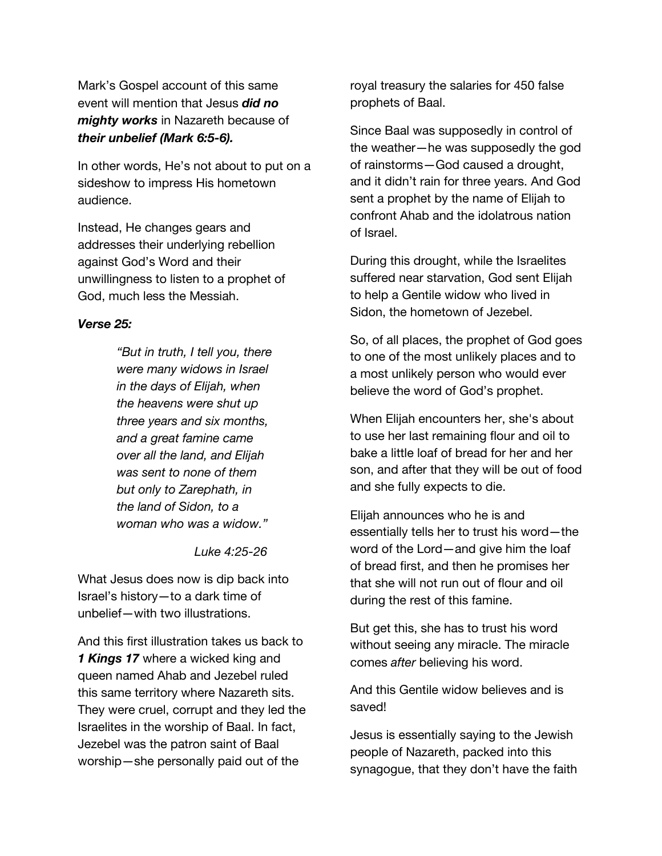Mark's Gospel account of this same event will mention that Jesus *did no mighty works* in Nazareth because of *their unbelief (Mark 6:5-6).*

In other words, He's not about to put on a sideshow to impress His hometown audience.

Instead, He changes gears and addresses their underlying rebellion against God's Word and their unwillingness to listen to a prophet of God, much less the Messiah.

#### *Verse 25:*

*"But in truth, I tell you, there were many widows in Israel in the days of Elijah, when the heavens were shut up three years and six months, and a great famine came over all the land, and Elijah was sent to none of them but only to Zarephath, in the land of Sidon, to a woman who was a widow."*

*Luke 4:25-26*

What Jesus does now is dip back into Israel's history—to a dark time of unbelief—with two illustrations.

And this first illustration takes us back to *1 Kings 17* where a wicked king and queen named Ahab and Jezebel ruled this same territory where Nazareth sits. They were cruel, corrupt and they led the Israelites in the worship of Baal. In fact, Jezebel was the patron saint of Baal worship—she personally paid out of the

royal treasury the salaries for 450 false prophets of Baal.

Since Baal was supposedly in control of the weather—he was supposedly the god of rainstorms—God caused a drought, and it didn't rain for three years. And God sent a prophet by the name of Elijah to confront Ahab and the idolatrous nation of Israel.

During this drought, while the Israelites suffered near starvation, God sent Elijah to help a Gentile widow who lived in Sidon, the hometown of Jezebel.

So, of all places, the prophet of God goes to one of the most unlikely places and to a most unlikely person who would ever believe the word of God's prophet.

When Elijah encounters her, she's about to use her last remaining flour and oil to bake a little loaf of bread for her and her son, and after that they will be out of food and she fully expects to die.

Elijah announces who he is and essentially tells her to trust his word—the word of the Lord—and give him the loaf of bread first, and then he promises her that she will not run out of flour and oil during the rest of this famine.

But get this, she has to trust his word without seeing any miracle. The miracle comes *after* believing his word.

And this Gentile widow believes and is saved!

Jesus is essentially saying to the Jewish people of Nazareth, packed into this synagogue, that they don't have the faith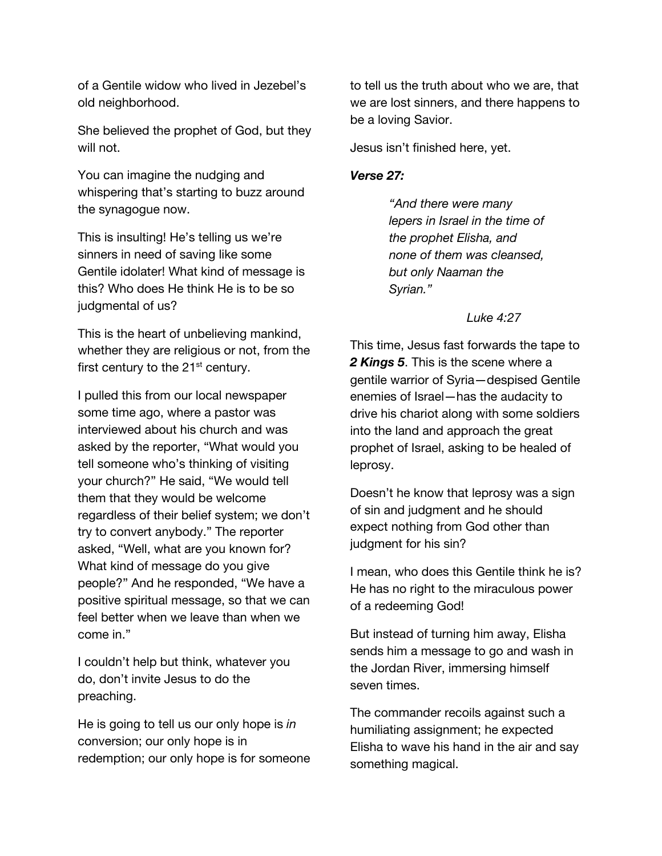of a Gentile widow who lived in Jezebel's old neighborhood.

She believed the prophet of God, but they will not.

You can imagine the nudging and whispering that's starting to buzz around the synagogue now.

This is insulting! He's telling us we're sinners in need of saving like some Gentile idolater! What kind of message is this? Who does He think He is to be so judgmental of us?

This is the heart of unbelieving mankind, whether they are religious or not, from the first century to the  $21<sup>st</sup>$  century.

I pulled this from our local newspaper some time ago, where a pastor was interviewed about his church and was asked by the reporter, "What would you tell someone who's thinking of visiting your church?" He said, "We would tell them that they would be welcome regardless of their belief system; we don't try to convert anybody." The reporter asked, "Well, what are you known for? What kind of message do you give people?" And he responded, "We have a positive spiritual message, so that we can feel better when we leave than when we come in."

I couldn't help but think, whatever you do, don't invite Jesus to do the preaching.

He is going to tell us our only hope is *in*  conversion; our only hope is in redemption; our only hope is for someone to tell us the truth about who we are, that we are lost sinners, and there happens to be a loving Savior.

Jesus isn't finished here, yet.

#### *Verse 27:*

*"And there were many lepers in Israel in the time of the prophet Elisha, and none of them was cleansed, but only Naaman the Syrian."*

#### *Luke 4:27*

This time, Jesus fast forwards the tape to *2 Kings 5*. This is the scene where a gentile warrior of Syria—despised Gentile enemies of Israel—has the audacity to drive his chariot along with some soldiers into the land and approach the great prophet of Israel, asking to be healed of leprosy.

Doesn't he know that leprosy was a sign of sin and judgment and he should expect nothing from God other than judgment for his sin?

I mean, who does this Gentile think he is? He has no right to the miraculous power of a redeeming God!

But instead of turning him away, Elisha sends him a message to go and wash in the Jordan River, immersing himself seven times.

The commander recoils against such a humiliating assignment; he expected Elisha to wave his hand in the air and say something magical.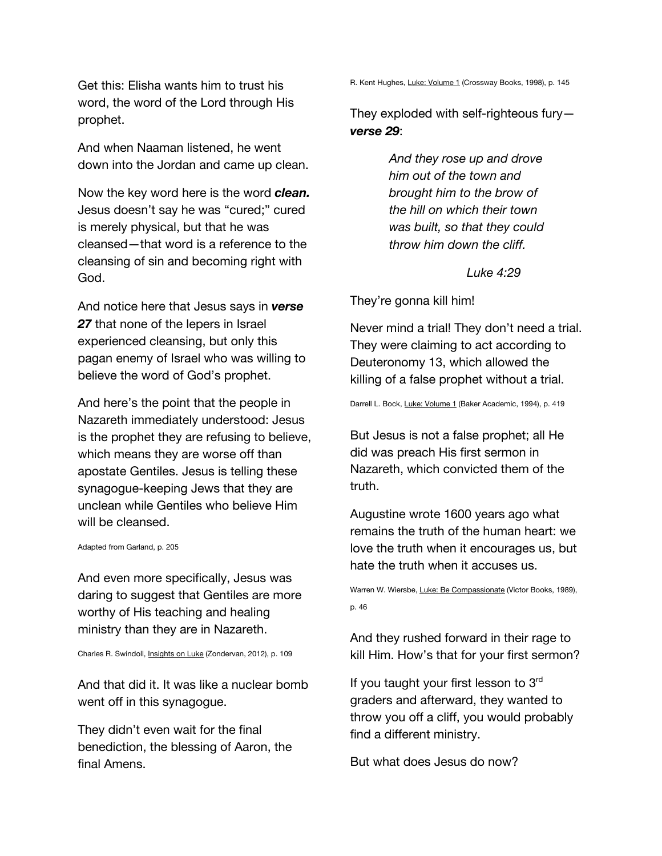Get this: Elisha wants him to trust his word, the word of the Lord through His prophet.

And when Naaman listened, he went down into the Jordan and came up clean.

Now the key word here is the word *clean.* Jesus doesn't say he was "cured;" cured is merely physical, but that he was cleansed—that word is a reference to the cleansing of sin and becoming right with God.

And notice here that Jesus says in *verse 27* that none of the lepers in Israel experienced cleansing, but only this pagan enemy of Israel who was willing to believe the word of God's prophet.

And here's the point that the people in Nazareth immediately understood: Jesus is the prophet they are refusing to believe, which means they are worse off than apostate Gentiles. Jesus is telling these synagogue-keeping Jews that they are unclean while Gentiles who believe Him will be cleansed.

Adapted from Garland, p. 205

And even more specifically, Jesus was daring to suggest that Gentiles are more worthy of His teaching and healing ministry than they are in Nazareth.

Charles R. Swindoll, Insights on Luke (Zondervan, 2012), p. 109

And that did it. It was like a nuclear bomb went off in this synagogue.

They didn't even wait for the final benediction, the blessing of Aaron, the final Amens.

R. Kent Hughes, Luke: Volume 1 (Crossway Books, 1998), p. 145

They exploded with self-righteous fury *verse 29*:

> *And they rose up and drove him out of the town and brought him to the brow of the hill on which their town was built, so that they could throw him down the cliff.*

#### *Luke 4:29*

They're gonna kill him!

Never mind a trial! They don't need a trial. They were claiming to act according to Deuteronomy 13, which allowed the killing of a false prophet without a trial.

Darrell L. Bock, Luke: Volume 1 (Baker Academic, 1994), p. 419

But Jesus is not a false prophet; all He did was preach His first sermon in Nazareth, which convicted them of the truth.

Augustine wrote 1600 years ago what remains the truth of the human heart: we love the truth when it encourages us, but hate the truth when it accuses us.

Warren W. Wiersbe, Luke: Be Compassionate (Victor Books, 1989), p. 46

And they rushed forward in their rage to kill Him. How's that for your first sermon?

If you taught your first lesson to  $3<sup>rd</sup>$ graders and afterward, they wanted to throw you off a cliff, you would probably find a different ministry.

But what does Jesus do now?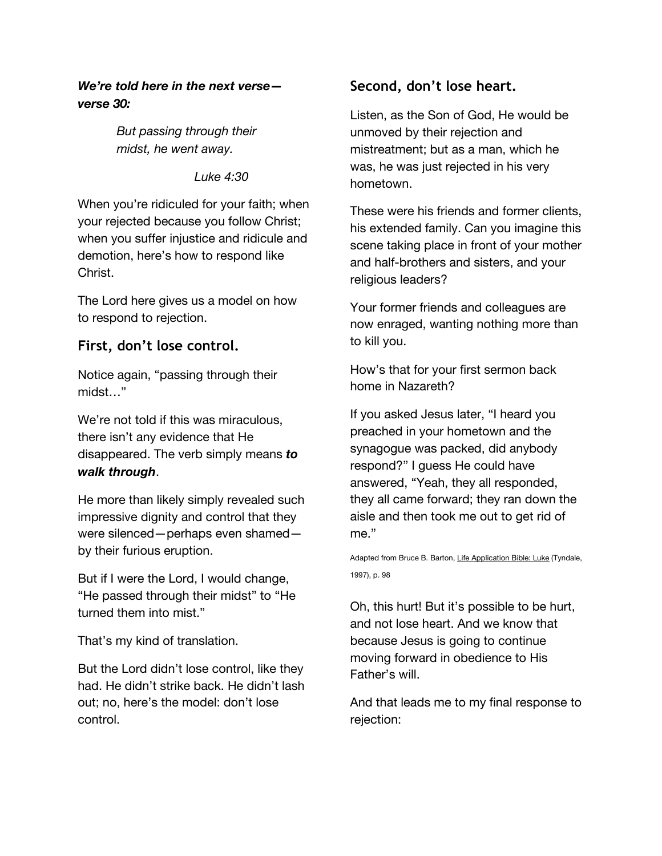## *We're told here in the next verse verse 30:*

*But passing through their midst, he went away.* 

*Luke 4:30*

When you're ridiculed for your faith; when your rejected because you follow Christ; when you suffer injustice and ridicule and demotion, here's how to respond like Christ.

The Lord here gives us a model on how to respond to rejection.

# **First, don't lose control.**

Notice again, "passing through their midst…"

We're not told if this was miraculous, there isn't any evidence that He disappeared. The verb simply means *to walk through*.

He more than likely simply revealed such impressive dignity and control that they were silenced—perhaps even shamed by their furious eruption.

But if I were the Lord, I would change, "He passed through their midst" to "He turned them into mist."

That's my kind of translation.

But the Lord didn't lose control, like they had. He didn't strike back. He didn't lash out; no, here's the model: don't lose control.

# **Second, don't lose heart.**

Listen, as the Son of God, He would be unmoved by their rejection and mistreatment; but as a man, which he was, he was just rejected in his very hometown.

These were his friends and former clients, his extended family. Can you imagine this scene taking place in front of your mother and half-brothers and sisters, and your religious leaders?

Your former friends and colleagues are now enraged, wanting nothing more than to kill you.

How's that for your first sermon back home in Nazareth?

If you asked Jesus later, "I heard you preached in your hometown and the synagogue was packed, did anybody respond?" I guess He could have answered, "Yeah, they all responded, they all came forward; they ran down the aisle and then took me out to get rid of me."

Adapted from Bruce B. Barton, Life Application Bible: Luke (Tyndale, 1997), p. 98

Oh, this hurt! But it's possible to be hurt, and not lose heart. And we know that because Jesus is going to continue moving forward in obedience to His Father's will.

And that leads me to my final response to rejection: